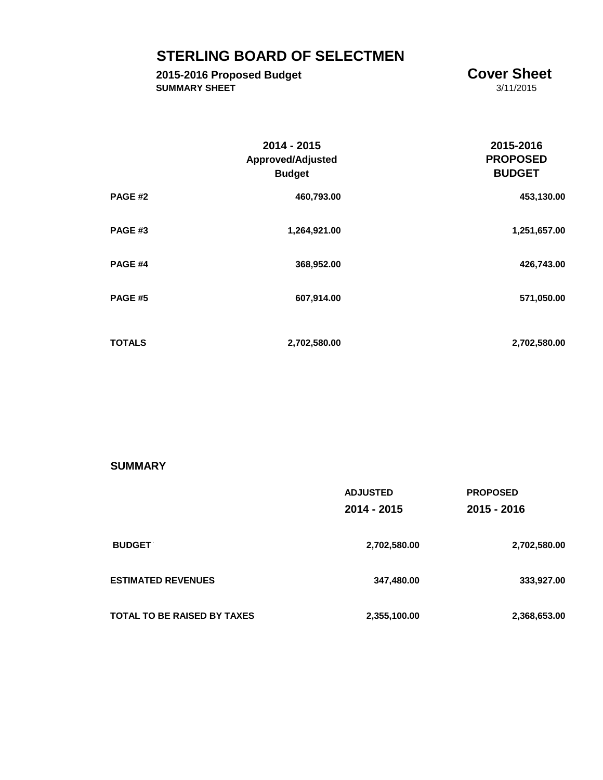# **STERLING BOARD OF SELECTMEN**

## **2015-2016 Proposed Budget**<br> **COVET Sheet**<br> **COVET Sheet**<br>  $\frac{3}{11}{2015}$ **SUMMARY SHEET**

|                | 2014 - 2015<br><b>Approved/Adjusted</b><br><b>Budget</b> | 2015-2016<br><b>PROPOSED</b><br><b>BUDGET</b> |
|----------------|----------------------------------------------------------|-----------------------------------------------|
| PAGE #2        | 460,793.00                                               | 453,130.00                                    |
| PAGE#3         | 1,264,921.00                                             | 1,251,657.00                                  |
| PAGE #4        | 368,952.00                                               | 426,743.00                                    |
| <b>PAGE #5</b> | 607,914.00                                               | 571,050.00                                    |
| <b>TOTALS</b>  | 2,702,580.00                                             | 2,702,580.00                                  |

### **SUMMARY**

|                                    | <b>ADJUSTED</b><br>2014 - 2015 | <b>PROPOSED</b><br>2015 - 2016 |
|------------------------------------|--------------------------------|--------------------------------|
| <b>BUDGET</b>                      | 2,702,580.00                   | 2,702,580.00                   |
| <b>ESTIMATED REVENUES</b>          | 347,480.00                     | 333,927.00                     |
| <b>TOTAL TO BE RAISED BY TAXES</b> | 2,355,100.00                   | 2,368,653.00                   |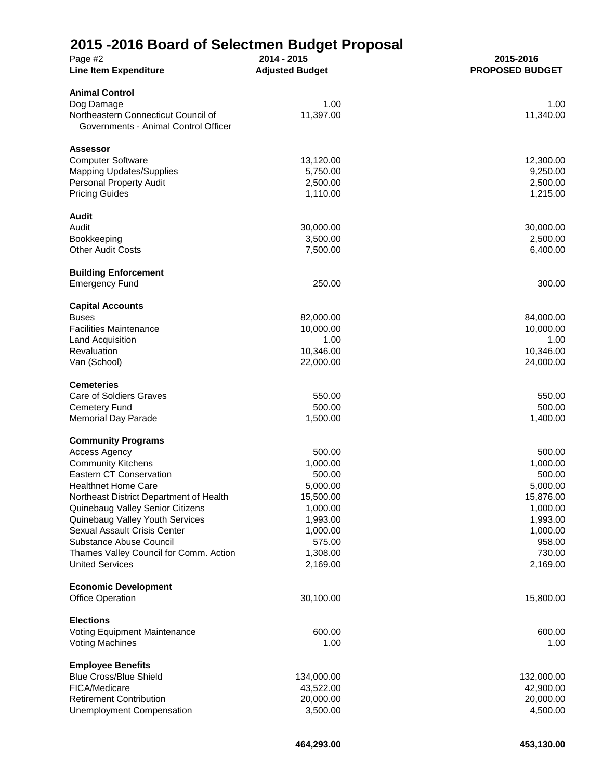# **2015 -2016 Board of Selectmen Budget Proposal**

| Page #2<br><b>Line Item Expenditure</b>                                     | ◛<br>2014 - 2015<br><b>Adjusted Budget</b> | 2015-2016<br><b>PROPOSED BUDGET</b> |
|-----------------------------------------------------------------------------|--------------------------------------------|-------------------------------------|
| <b>Animal Control</b>                                                       |                                            |                                     |
| Dog Damage                                                                  | 1.00                                       | 1.00                                |
| Northeastern Connecticut Council of<br>Governments - Animal Control Officer | 11,397.00                                  | 11,340.00                           |
| <b>Assessor</b>                                                             |                                            |                                     |
| <b>Computer Software</b>                                                    | 13,120.00                                  | 12,300.00                           |
| <b>Mapping Updates/Supplies</b>                                             | 5,750.00                                   | 9,250.00                            |
| <b>Personal Property Audit</b>                                              | 2,500.00                                   | 2,500.00                            |
| <b>Pricing Guides</b>                                                       | 1,110.00                                   | 1,215.00                            |
| <b>Audit</b>                                                                |                                            |                                     |
| Audit                                                                       | 30,000.00                                  | 30,000.00                           |
| Bookkeeping                                                                 | 3,500.00                                   | 2,500.00                            |
| <b>Other Audit Costs</b>                                                    | 7,500.00                                   | 6,400.00                            |
| <b>Building Enforcement</b>                                                 |                                            |                                     |
| <b>Emergency Fund</b>                                                       | 250.00                                     | 300.00                              |
| <b>Capital Accounts</b>                                                     |                                            |                                     |
| <b>Buses</b>                                                                | 82,000.00                                  | 84,000.00                           |
| <b>Facilities Maintenance</b>                                               | 10,000.00                                  | 10,000.00                           |
| Land Acquisition                                                            | 1.00                                       | 1.00                                |
| Revaluation                                                                 | 10,346.00                                  | 10,346.00                           |
| Van (School)                                                                | 22,000.00                                  | 24,000.00                           |
| <b>Cemeteries</b>                                                           |                                            |                                     |
| Care of Soldiers Graves                                                     | 550.00                                     | 550.00                              |
| <b>Cemetery Fund</b>                                                        | 500.00                                     | 500.00                              |
| <b>Memorial Day Parade</b>                                                  | 1,500.00                                   | 1,400.00                            |
| <b>Community Programs</b>                                                   |                                            |                                     |
| <b>Access Agency</b>                                                        | 500.00                                     | 500.00                              |
| <b>Community Kitchens</b>                                                   | 1,000.00                                   | 1,000.00                            |
| Eastern CT Conservation                                                     | 500.00                                     | 500.00                              |
| <b>Healthnet Home Care</b>                                                  | 5,000.00                                   | 5,000.00                            |
| Northeast District Department of Health                                     | 15,500.00                                  | 15,876.00                           |
| Quinebaug Valley Senior Citizens                                            | 1,000.00                                   | 1,000.00                            |
| Quinebaug Valley Youth Services                                             | 1,993.00                                   | 1,993.00                            |
| Sexual Assault Crisis Center                                                | 1,000.00                                   | 1,000.00                            |
| Substance Abuse Council                                                     | 575.00                                     | 958.00                              |
| Thames Valley Council for Comm. Action                                      | 1,308.00                                   | 730.00                              |
| <b>United Services</b>                                                      | 2,169.00                                   | 2,169.00                            |
| <b>Economic Development</b>                                                 |                                            |                                     |
| <b>Office Operation</b>                                                     | 30,100.00                                  | 15,800.00                           |
| <b>Elections</b>                                                            |                                            |                                     |
| Voting Equipment Maintenance                                                | 600.00                                     | 600.00                              |
| <b>Voting Machines</b>                                                      | 1.00                                       | 1.00                                |
| <b>Employee Benefits</b>                                                    |                                            |                                     |
| <b>Blue Cross/Blue Shield</b>                                               | 134,000.00                                 | 132,000.00                          |
| FICA/Medicare                                                               | 43,522.00                                  | 42,900.00                           |
| <b>Retirement Contribution</b>                                              | 20,000.00                                  | 20,000.00                           |
| <b>Unemployment Compensation</b>                                            | 3,500.00                                   | 4,500.00                            |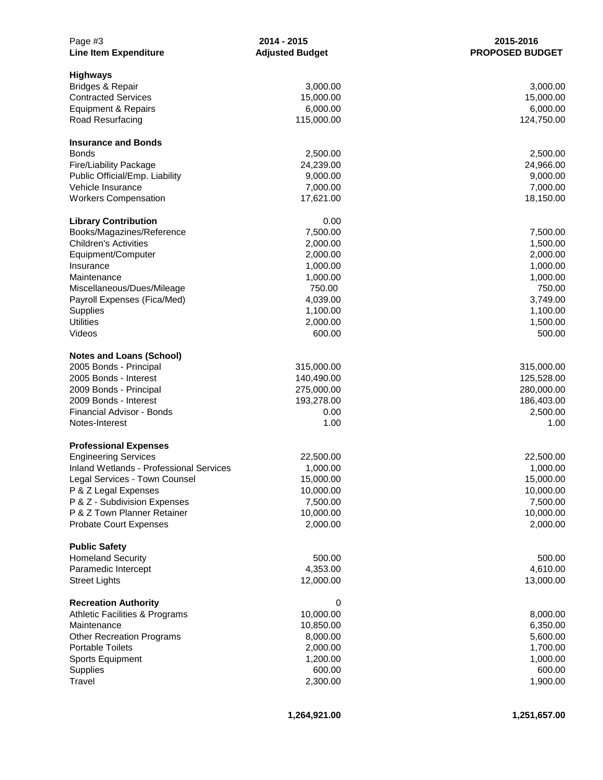| Page #3<br><b>Line Item Expenditure</b>        | 2014 - 2015<br><b>Adjusted Budget</b> | 2015-2016<br><b>PROPOSED BUDGET</b> |
|------------------------------------------------|---------------------------------------|-------------------------------------|
| <b>Highways</b>                                |                                       |                                     |
| Bridges & Repair                               | 3,000.00                              | 3,000.00                            |
| <b>Contracted Services</b>                     | 15,000.00                             | 15,000.00                           |
| Equipment & Repairs                            | 6,000.00                              | 6,000.00                            |
| Road Resurfacing                               | 115,000.00                            | 124,750.00                          |
| <b>Insurance and Bonds</b>                     |                                       |                                     |
| <b>Bonds</b>                                   | 2,500.00                              | 2,500.00                            |
| <b>Fire/Liability Package</b>                  | 24,239.00                             | 24,966.00                           |
| Public Official/Emp. Liability                 | 9,000.00                              | 9,000.00                            |
| Vehicle Insurance                              | 7,000.00                              | 7,000.00                            |
| <b>Workers Compensation</b>                    | 17,621.00                             | 18,150.00                           |
| <b>Library Contribution</b>                    | 0.00                                  |                                     |
| Books/Magazines/Reference                      | 7,500.00                              | 7,500.00                            |
| <b>Children's Activities</b>                   | 2,000.00                              | 1,500.00                            |
| Equipment/Computer                             | 2,000.00                              | 2,000.00                            |
| Insurance                                      | 1,000.00                              | 1,000.00                            |
| Maintenance                                    | 1,000.00                              | 1,000.00                            |
| Miscellaneous/Dues/Mileage                     | 750.00                                | 750.00                              |
| Payroll Expenses (Fica/Med)                    | 4,039.00                              | 3,749.00                            |
| Supplies                                       | 1,100.00                              | 1,100.00                            |
| <b>Utilities</b>                               | 2,000.00                              | 1,500.00                            |
| Videos                                         | 600.00                                | 500.00                              |
| <b>Notes and Loans (School)</b>                |                                       |                                     |
| 2005 Bonds - Principal                         | 315,000.00                            | 315,000.00                          |
| 2005 Bonds - Interest                          | 140,490.00                            | 125,528.00                          |
| 2009 Bonds - Principal                         | 275,000.00                            | 280,000.00                          |
| 2009 Bonds - Interest                          | 193,278.00                            | 186,403.00                          |
| Financial Advisor - Bonds                      | 0.00                                  | 2,500.00                            |
| Notes-Interest                                 | 1.00                                  | 1.00                                |
| <b>Professional Expenses</b>                   |                                       |                                     |
| <b>Engineering Services</b>                    | 22,500.00                             | 22,500.00                           |
| <b>Inland Wetlands - Professional Services</b> | 1,000.00                              | 1,000.00                            |
| Legal Services - Town Counsel                  | 15,000.00                             | 15,000.00                           |
| P & Z Legal Expenses                           | 10,000.00                             | 10,000.00                           |
| P & Z - Subdivision Expenses                   | 7,500.00                              | 7,500.00                            |
| P & Z Town Planner Retainer                    | 10,000.00                             | 10,000.00                           |
| <b>Probate Court Expenses</b>                  | 2,000.00                              | 2,000.00                            |
| <b>Public Safety</b>                           |                                       |                                     |
| <b>Homeland Security</b>                       | 500.00                                | 500.00                              |
| Paramedic Intercept                            | 4,353.00                              | 4,610.00                            |
| <b>Street Lights</b>                           | 12,000.00                             | 13,000.00                           |
| <b>Recreation Authority</b>                    | 0                                     |                                     |
| <b>Athletic Facilities &amp; Programs</b>      | 10,000.00                             | 8,000.00                            |
| Maintenance                                    | 10,850.00                             | 6,350.00                            |
| <b>Other Recreation Programs</b>               | 8,000.00                              | 5,600.00                            |
| <b>Portable Toilets</b>                        | 2,000.00                              | 1,700.00                            |
| <b>Sports Equipment</b>                        | 1,200.00                              | 1,000.00                            |
| <b>Supplies</b>                                | 600.00                                | 600.00                              |
| Travel                                         | 2,300.00                              | 1,900.00                            |
|                                                |                                       |                                     |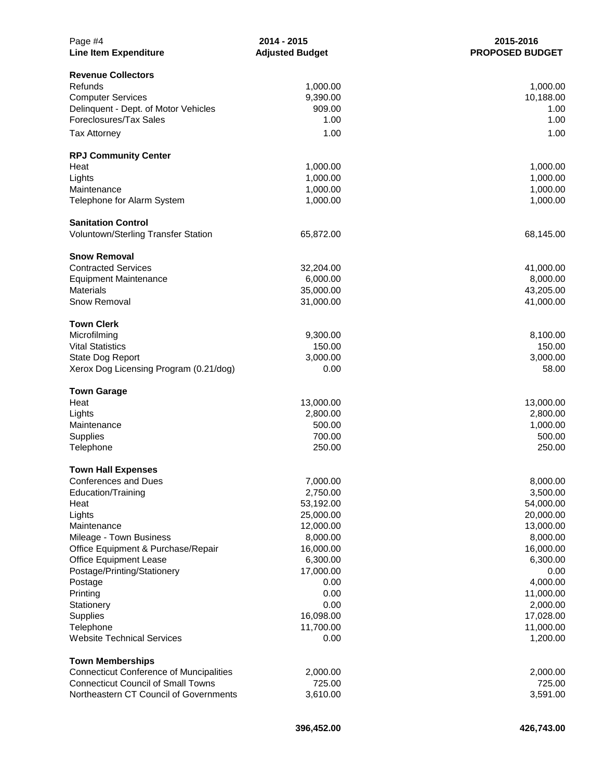| Page #4<br><b>Line Item Expenditure</b>                                   | 2014 - 2015<br><b>Adjusted Budget</b> | 2015-2016<br><b>PROPOSED BUDGET</b> |
|---------------------------------------------------------------------------|---------------------------------------|-------------------------------------|
| <b>Revenue Collectors</b>                                                 |                                       |                                     |
| Refunds                                                                   | 1,000.00                              | 1,000.00                            |
| <b>Computer Services</b>                                                  | 9,390.00                              | 10,188.00                           |
| Delinquent - Dept. of Motor Vehicles                                      | 909.00                                | 1.00                                |
| Foreclosures/Tax Sales                                                    | 1.00                                  | 1.00                                |
| <b>Tax Attorney</b>                                                       | 1.00                                  | 1.00                                |
|                                                                           |                                       |                                     |
| <b>RPJ Community Center</b>                                               |                                       |                                     |
| Heat                                                                      | 1,000.00                              | 1,000.00                            |
| Lights                                                                    | 1,000.00                              | 1,000.00                            |
| Maintenance                                                               | 1,000.00                              | 1,000.00                            |
| Telephone for Alarm System                                                | 1,000.00                              | 1,000.00                            |
| <b>Sanitation Control</b>                                                 |                                       |                                     |
| Voluntown/Sterling Transfer Station                                       | 65,872.00                             | 68,145.00                           |
|                                                                           |                                       |                                     |
| <b>Snow Removal</b>                                                       |                                       |                                     |
| <b>Contracted Services</b>                                                | 32,204.00                             | 41,000.00                           |
| <b>Equipment Maintenance</b>                                              | 6,000.00                              | 8,000.00                            |
| <b>Materials</b>                                                          | 35,000.00                             | 43,205.00                           |
| Snow Removal                                                              | 31,000.00                             | 41,000.00                           |
| <b>Town Clerk</b>                                                         |                                       |                                     |
| Microfilming                                                              | 9,300.00                              | 8,100.00                            |
| <b>Vital Statistics</b>                                                   | 150.00                                | 150.00                              |
| State Dog Report                                                          | 3,000.00                              | 3,000.00                            |
| Xerox Dog Licensing Program (0.21/dog)                                    | 0.00                                  | 58.00                               |
|                                                                           |                                       |                                     |
| <b>Town Garage</b>                                                        |                                       |                                     |
| Heat                                                                      | 13,000.00                             | 13,000.00                           |
| Lights                                                                    | 2,800.00                              | 2,800.00                            |
| Maintenance                                                               | 500.00<br>700.00                      | 1,000.00<br>500.00                  |
| Supplies                                                                  | 250.00                                | 250.00                              |
| Telephone                                                                 |                                       |                                     |
| <b>Town Hall Expenses</b>                                                 |                                       |                                     |
| <b>Conferences and Dues</b>                                               | 7,000.00                              | 8,000.00                            |
| Education/Training                                                        | 2,750.00                              | 3,500.00                            |
| Heat                                                                      | 53,192.00                             | 54,000.00                           |
| Lights                                                                    | 25,000.00                             | 20,000.00                           |
| Maintenance                                                               | 12,000.00                             | 13,000.00                           |
| Mileage - Town Business                                                   | 8,000.00                              | 8,000.00                            |
| Office Equipment & Purchase/Repair                                        | 16,000.00                             | 16,000.00                           |
| <b>Office Equipment Lease</b>                                             | 6,300.00                              | 6,300.00                            |
| Postage/Printing/Stationery                                               | 17,000.00                             | 0.00                                |
| Postage                                                                   | 0.00                                  | 4,000.00                            |
| Printing                                                                  | 0.00                                  | 11,000.00                           |
| Stationery                                                                | 0.00                                  | 2,000.00                            |
| Supplies                                                                  | 16,098.00                             | 17,028.00                           |
| Telephone                                                                 | 11,700.00                             | 11,000.00                           |
| <b>Website Technical Services</b>                                         | 0.00                                  | 1,200.00                            |
|                                                                           |                                       |                                     |
| <b>Town Memberships</b><br><b>Connecticut Conference of Muncipalities</b> | 2,000.00                              | 2,000.00                            |
| <b>Connecticut Council of Small Towns</b>                                 | 725.00                                | 725.00                              |
| Northeastern CT Council of Governments                                    | 3,610.00                              | 3,591.00                            |
|                                                                           |                                       |                                     |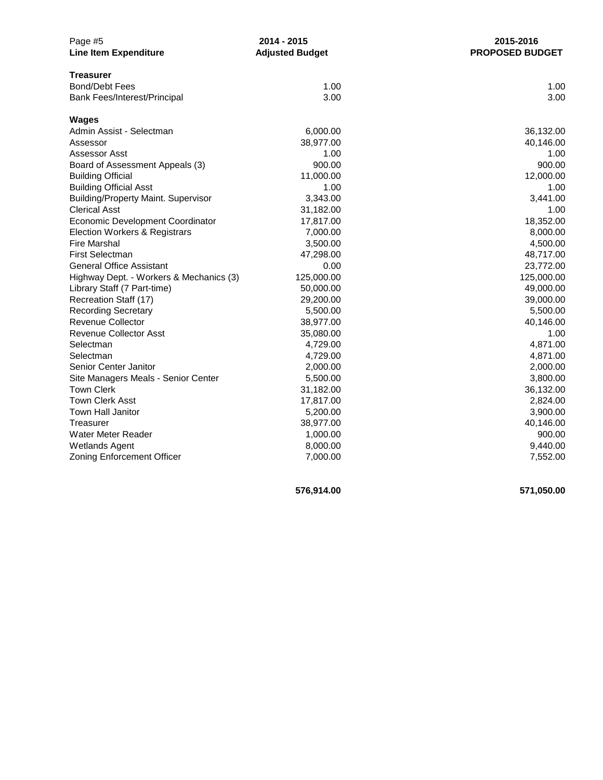| Page #5                                    | 2014 - 2015            | 2015-2016              |  |
|--------------------------------------------|------------------------|------------------------|--|
| <b>Line Item Expenditure</b>               | <b>Adjusted Budget</b> | <b>PROPOSED BUDGET</b> |  |
| <b>Treasurer</b>                           |                        |                        |  |
| <b>Bond/Debt Fees</b>                      | 1.00                   | 1.00                   |  |
| Bank Fees/Interest/Principal               | 3.00                   | 3.00                   |  |
| <b>Wages</b>                               |                        |                        |  |
| Admin Assist - Selectman                   | 6,000.00               | 36,132.00              |  |
| Assessor                                   | 38,977.00              | 40,146.00              |  |
| Assessor Asst                              | 1.00                   | 1.00                   |  |
| Board of Assessment Appeals (3)            | 900.00                 | 900.00                 |  |
| <b>Building Official</b>                   | 11,000.00              | 12,000.00              |  |
| <b>Building Official Asst</b>              | 1.00                   | 1.00                   |  |
| <b>Building/Property Maint. Supervisor</b> | 3,343.00               | 3,441.00               |  |
| <b>Clerical Asst</b>                       | 31,182.00              | 1.00                   |  |
| Economic Development Coordinator           | 17,817.00              | 18,352.00              |  |
| Election Workers & Registrars              | 7,000.00               | 8,000.00               |  |
| <b>Fire Marshal</b>                        | 3,500.00               | 4,500.00               |  |
| <b>First Selectman</b>                     | 47,298.00              | 48,717.00              |  |
| <b>General Office Assistant</b>            | 0.00                   | 23,772.00              |  |
| Highway Dept. - Workers & Mechanics (3)    | 125,000.00             | 125,000.00             |  |
| Library Staff (7 Part-time)                | 50,000.00              | 49,000.00              |  |
| Recreation Staff (17)                      | 29,200.00              | 39,000.00              |  |
| <b>Recording Secretary</b>                 | 5,500.00               | 5,500.00               |  |
| <b>Revenue Collector</b>                   | 38,977.00              | 40,146.00              |  |
| <b>Revenue Collector Asst</b>              | 35,080.00              | 1.00                   |  |
| Selectman                                  | 4,729.00               | 4,871.00               |  |
| Selectman                                  | 4,729.00               | 4,871.00               |  |
| Senior Center Janitor                      | 2,000.00               | 2,000.00               |  |
| Site Managers Meals - Senior Center        | 5,500.00               | 3,800.00               |  |
| <b>Town Clerk</b>                          | 31,182.00              | 36,132.00              |  |
| <b>Town Clerk Asst</b>                     | 17,817.00              | 2,824.00               |  |
| Town Hall Janitor                          | 5,200.00               | 3,900.00               |  |
| Treasurer                                  | 38,977.00              | 40,146.00              |  |
| <b>Water Meter Reader</b>                  | 1,000.00               | 900.00                 |  |
| <b>Wetlands Agent</b>                      | 8,000.00               | 9,440.00               |  |
| Zoning Enforcement Officer                 | 7,000.00               | 7,552.00               |  |

**576,914.00 571,050.00**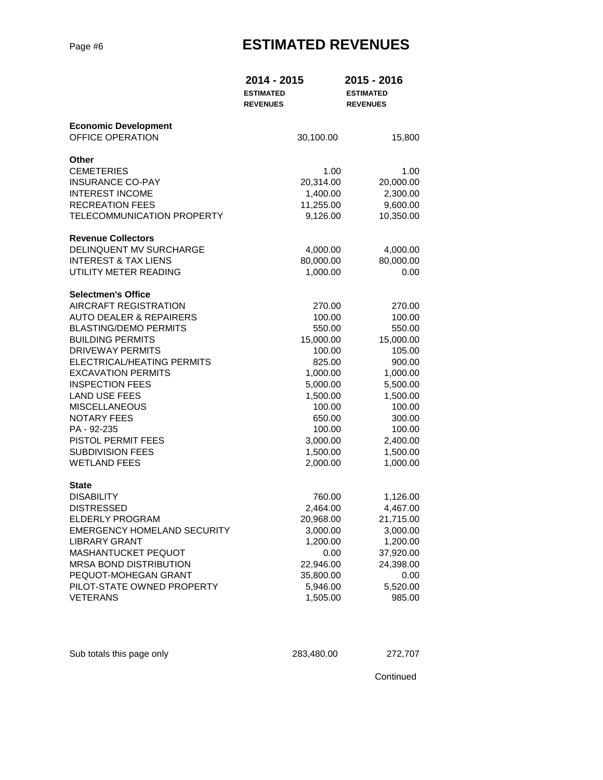# Page #6 **ESTIMATED REVENUES**

|                                                 | 2014 - 2015<br><b>ESTIMATED</b><br><b>REVENUES</b> | 2015 - 2016<br><b>ESTIMATED</b><br><b>REVENUES</b> |
|-------------------------------------------------|----------------------------------------------------|----------------------------------------------------|
| <b>Economic Development</b><br>OFFICE OPERATION | 30,100.00                                          | 15,800                                             |
| Other                                           |                                                    |                                                    |
| <b>CEMETERIES</b>                               | 1.00                                               | 1.00                                               |
| <b>INSURANCE CO-PAY</b>                         | 20,314.00                                          | 20,000.00                                          |
| <b>INTEREST INCOME</b>                          | 1,400.00                                           | 2,300.00                                           |
| <b>RECREATION FEES</b>                          | 11,255.00                                          | 9,600.00                                           |
| TELECOMMUNICATION PROPERTY                      | 9,126.00                                           | 10,350.00                                          |
| <b>Revenue Collectors</b>                       |                                                    |                                                    |
| DELINQUENT MV SURCHARGE                         | 4,000.00                                           | 4,000.00                                           |
| <b>INTEREST &amp; TAX LIENS</b>                 | 80,000.00                                          | 80,000.00                                          |
| UTILITY METER READING                           | 1,000.00                                           | 0.00                                               |
| <b>Selectmen's Office</b>                       |                                                    |                                                    |
| <b>AIRCRAFT REGISTRATION</b>                    | 270.00                                             | 270.00                                             |
| <b>AUTO DEALER &amp; REPAIRERS</b>              | 100.00                                             | 100.00                                             |
| <b>BLASTING/DEMO PERMITS</b>                    | 550.00                                             | 550.00                                             |
| <b>BUILDING PERMITS</b>                         | 15,000.00                                          | 15,000.00                                          |
| <b>DRIVEWAY PERMITS</b>                         | 100.00                                             | 105.00                                             |
| ELECTRICAL/HEATING PERMITS                      | 825.00                                             | 900.00                                             |
| <b>EXCAVATION PERMITS</b>                       | 1,000.00                                           | 1,000.00                                           |
| <b>INSPECTION FEES</b>                          | 5,000.00                                           | 5,500.00                                           |
| <b>LAND USE FEES</b>                            | 1,500.00                                           | 1,500.00                                           |
| <b>MISCELLANEOUS</b>                            | 100.00                                             | 100.00                                             |
| <b>NOTARY FEES</b><br>PA - 92-235               | 650.00<br>100.00                                   | 300.00                                             |
| PISTOL PERMIT FEES                              | 3,000.00                                           | 100.00<br>2,400.00                                 |
| <b>SUBDIVISION FEES</b>                         | 1,500.00                                           | 1,500.00                                           |
| <b>WETLAND FEES</b>                             | 2,000.00                                           | 1,000.00                                           |
|                                                 |                                                    |                                                    |
| <b>State</b><br><b>DISABILITY</b>               | 760.00                                             | 1,126.00                                           |
| <b>DISTRESSED</b>                               | 2,464.00                                           | 4,467.00                                           |
| <b>ELDERLY PROGRAM</b>                          | 20,968.00                                          | 21,715.00                                          |
| <b>EMERGENCY HOMELAND SECURITY</b>              | 3,000.00                                           | 3,000.00                                           |
| <b>LIBRARY GRANT</b>                            | 1,200.00                                           | 1,200.00                                           |
| MASHANTUCKET PEQUOT                             | 0.00                                               | 37,920.00                                          |
| <b>MRSA BOND DISTRIBUTION</b>                   | 22,946.00                                          | 24,398.00                                          |
| PEQUOT-MOHEGAN GRANT                            | 35,800.00                                          | 0.00                                               |
| PILOT-STATE OWNED PROPERTY                      | 5,946.00                                           | 5,520.00                                           |
| <b>VETERANS</b>                                 | 1,505.00                                           | 985.00                                             |
|                                                 |                                                    |                                                    |

Sub totals this page only 283,480.00 272,707

Continued